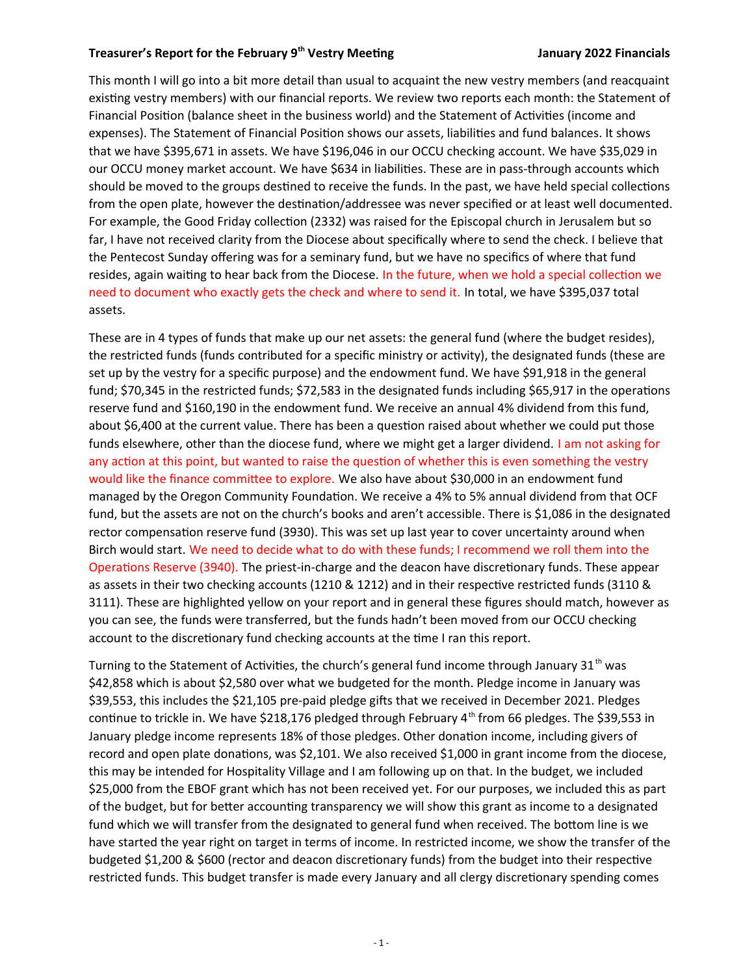## **Treasurer's Report for the February 9th Vestry Meetng January 2022 Financials**

This month I will go into a bit more detail than usual to acquaint the new vestry members (and reacquaint existing vestry members) with our financial reports. We review two reports each month: the Statement of Financial Position (balance sheet in the business world) and the Statement of Activities (income and expenses). The Statement of Financial Positon shows our assets, liabilites and fund balances. It shows that we have \$395,671 in assets. We have \$196,046 in our OCCU checking account. We have \$35,029 in our OCCU money market account. We have \$634 in liabilities. These are in pass-through accounts which should be moved to the groups destned to receive the funds. In the past, we have held special collectons from the open plate, however the destnaton/addressee was never specifed or at least well documented. For example, the Good Friday collection (2332) was raised for the Episcopal church in Jerusalem but so far, I have not received clarity from the Diocese about specifcally where to send the check. I believe that the Pentecost Sunday offering was for a seminary fund, but we have no specifics of where that fund resides, again waiting to hear back from the Diocese. In the future, when we hold a special collection we need to document who exactly gets the check and where to send it. In total, we have \$395,037 total assets.

These are in 4 types of funds that make up our net assets: the general fund (where the budget resides), the restricted funds (funds contributed for a specific ministry or activity), the designated funds (these are set up by the vestry for a specific purpose) and the endowment fund. We have \$91,918 in the general fund; \$70,345 in the restricted funds; \$72,583 in the designated funds including \$65,917 in the operatons reserve fund and \$160,190 in the endowment fund. We receive an annual 4% dividend from this fund, about \$6,400 at the current value. There has been a question raised about whether we could put those funds elsewhere, other than the diocese fund, where we might get a larger dividend. I am not asking for any action at this point, but wanted to raise the question of whether this is even something the vestry would like the fnance commitee to explore. We also have about \$30,000 in an endowment fund managed by the Oregon Community Foundation. We receive a 4% to 5% annual dividend from that OCF fund, but the assets are not on the church's books and aren't accessible. There is \$1,086 in the designated rector compensation reserve fund (3930). This was set up last year to cover uncertainty around when Birch would start. We need to decide what to do with these funds; I recommend we roll them into the Operatons Reserve (3940). The priest-in-charge and the deacon have discretonary funds. These appear as assets in their two checking accounts (1210 & 1212) and in their respectve restricted funds (3110 & 3111). These are highlighted yellow on your report and in general these fgures should match, however as you can see, the funds were transferred, but the funds hadn't been moved from our OCCU checking account to the discretionary fund checking accounts at the time I ran this report.

Turning to the Statement of Activities, the church's general fund income through January  $31<sup>th</sup>$  was \$42,858 which is about \$2,580 over what we budgeted for the month. Pledge income in January was \$39,553, this includes the \$21,105 pre-paid pledge gifs that we received in December 2021. Pledges continue to trickle in. We have \$218,176 pledged through February  $4<sup>th</sup>$  from 66 pledges. The \$39,553 in January pledge income represents 18% of those pledges. Other donation income, including givers of record and open plate donations, was \$2,101. We also received \$1,000 in grant income from the diocese, this may be intended for Hospitality Village and I am following up on that. In the budget, we included \$25,000 from the EBOF grant which has not been received yet. For our purposes, we included this as part of the budget, but for beter accountng transparency we will show this grant as income to a designated fund which we will transfer from the designated to general fund when received. The bottom line is we have started the year right on target in terms of income. In restricted income, we show the transfer of the budgeted \$1,200 & \$600 (rector and deacon discretionary funds) from the budget into their respective restricted funds. This budget transfer is made every January and all clergy discretionary spending comes